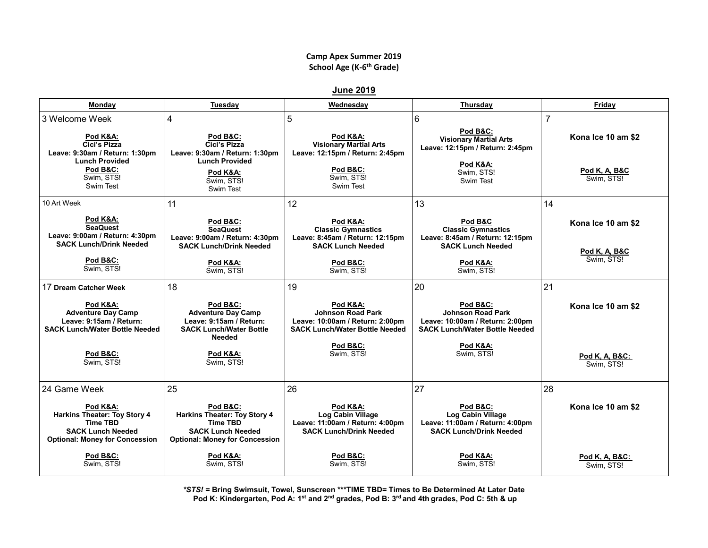## **Camp Apex Summer 2019 School Age (K-6 th Grade)**

**June 2019**

| Monday                                                                                                                                       | Tuesday                                                                                                                                            | Wednesday                                                                                                                      | Thursday                                                                                                                      | Friday                                                              |
|----------------------------------------------------------------------------------------------------------------------------------------------|----------------------------------------------------------------------------------------------------------------------------------------------------|--------------------------------------------------------------------------------------------------------------------------------|-------------------------------------------------------------------------------------------------------------------------------|---------------------------------------------------------------------|
| 3 Welcome Week<br>Pod K&A:<br>Cici's Pizza<br>Leave: 9:30am / Return: 1:30pm<br><b>Lunch Provided</b><br>Pod B&C:<br>Swim. STS!<br>Swim Test | 4<br>Pod B&C:<br>Cici's Pizza<br>Leave: 9:30am / Return: 1:30pm<br><b>Lunch Provided</b><br>Pod K&A:<br>Swim, STS!<br>Swim Test                    | 5<br>Pod K&A:<br><b>Visionary Martial Arts</b><br>Leave: 12:15pm / Return: 2:45pm<br>Pod B&C:<br>Swim, STS!<br>Swim Test       | 6<br>Pod B&C:<br><b>Visionary Martial Arts</b><br>Leave: 12:15pm / Return: 2:45pm<br>Pod K&A:<br>Swim, STS!<br>Swim Test      | $\overline{7}$<br>Kona Ice 10 am \$2<br>Pod K, A, B&C<br>Swim. STS! |
| 10 Art Week                                                                                                                                  | 11                                                                                                                                                 | 12                                                                                                                             | 13                                                                                                                            | 14                                                                  |
| Pod K&A:<br><b>SeaQuest</b><br>Leave: 9:00am / Return: 4:30pm<br><b>SACK Lunch/Drink Needed</b><br><b>Pod B&amp;C:</b><br>Swim, STS!         | Pod B&C:<br><b>SeaQuest</b><br>Leave: 9:00am / Return: 4:30pm<br><b>SACK Lunch/Drink Needed</b><br>Pod K&A:<br>Swim, STS!                          | Pod K&A:<br><b>Classic Gymnastics</b><br>Leave: 8:45am / Return: 12:15pm<br><b>SACK Lunch Needed</b><br>Pod B&C:<br>Swim, STS! | Pod B&C<br><b>Classic Gymnastics</b><br>Leave: 8:45am / Return: 12:15pm<br><b>SACK Lunch Needed</b><br>Pod K&A:<br>Swim, STS! | Kona Ice 10 am \$2<br>Pod K, A, B&C<br>Swim. STS!                   |
| 17 Dream Catcher Week                                                                                                                        | 18                                                                                                                                                 | 19                                                                                                                             | 20                                                                                                                            | 21                                                                  |
| Pod K&A:<br><b>Adventure Day Camp</b><br>Leave: 9:15am / Return:<br><b>SACK Lunch/Water Bottle Needed</b>                                    | Pod B&C:<br><b>Adventure Day Camp</b><br>Leave: 9:15am / Return:<br><b>SACK Lunch/Water Bottle</b><br>Needed                                       | Pod K&A:<br><b>Johnson Road Park</b><br>Leave: 10:00am / Return: 2:00pm<br><b>SACK Lunch/Water Bottle Needed</b>               | Pod B&C:<br><b>Johnson Road Park</b><br>Leave: 10:00am / Return: 2:00pm<br><b>SACK Lunch/Water Bottle Needed</b>              | Kona Ice 10 am \$2                                                  |
| <b>Pod B&amp;C:</b><br>Swim. STS!                                                                                                            | Pod K&A:<br>Swim, STS!                                                                                                                             | Pod B&C:<br>Swim, STS!                                                                                                         | Pod K&A:<br>Swim, STS!                                                                                                        | Pod K, A, B&C:<br>Swim. STS!                                        |
| 24 Game Week                                                                                                                                 | 25                                                                                                                                                 | 26                                                                                                                             | 27                                                                                                                            | 28                                                                  |
| Pod K&A:<br>Harkins Theater: Toy Story 4<br><b>Time TBD</b><br><b>SACK Lunch Needed</b><br><b>Optional: Money for Concession</b>             | <b>Pod B&amp;C:</b><br><b>Harkins Theater: Toy Story 4</b><br><b>Time TBD</b><br><b>SACK Lunch Needed</b><br><b>Optional: Money for Concession</b> | Pod K&A:<br>Log Cabin Village<br>Leave: 11:00am / Return: 4:00pm<br><b>SACK Lunch/Drink Needed</b>                             | Pod B&C:<br>Log Cabin Village<br>Leave: 11:00am / Return: 4:00pm<br><b>SACK Lunch/Drink Needed</b>                            | Kona Ice 10 am \$2                                                  |
| Pod B&C:<br>Swim. STS!                                                                                                                       | Pod K&A:<br>Swim. STS!                                                                                                                             | Pod B&C:<br>Swim. STS!                                                                                                         | Pod K&A:<br>Swim. STS!                                                                                                        | Pod K, A, B&C:<br>Swim, STS!                                        |

*\*STS!* **= Bring Swimsuit, Towel, Sunscreen \*\*\*TIME TBD= Times to Be Determined At Later Date Pod K: Kindergarten, Pod A: 1st and 2nd grades, Pod B: 3rd and 4th grades, Pod C: 5th & up**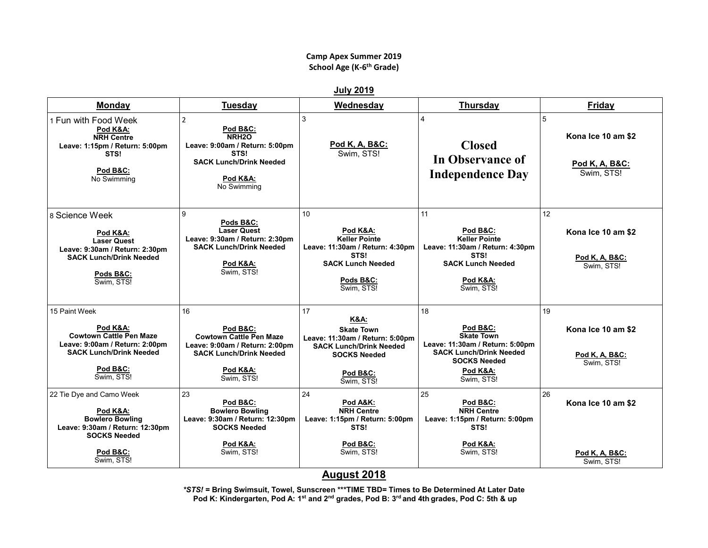## **Camp Apex Summer 2019 School Age (K-6 th Grade)**

**July 2019**

| <b>Monday</b>                                                                                                                                             | <b>Tuesday</b>                                                                                                                                                    | Wednesday                                                                                                                                                                   | Thursday                                                                                                                                                  | Friday                                                             |
|-----------------------------------------------------------------------------------------------------------------------------------------------------------|-------------------------------------------------------------------------------------------------------------------------------------------------------------------|-----------------------------------------------------------------------------------------------------------------------------------------------------------------------------|-----------------------------------------------------------------------------------------------------------------------------------------------------------|--------------------------------------------------------------------|
| 1 Fun with Food Week<br>Pod K&A:<br><b>NRH Centre</b><br>Leave: 1:15pm / Return: 5:00pm<br>STS!<br>Pod B&C:<br>No Swimming                                | $\overline{2}$<br><b>Pod B&amp;C:</b><br>NRH <sub>20</sub><br>Leave: 9:00am / Return: 5:00pm<br>STS!<br><b>SACK Lunch/Drink Needed</b><br>Pod K&A:<br>No Swimming | 3<br>Pod K, A, B&C:<br>Swim, STS!                                                                                                                                           | <b>Closed</b><br><b>In Observance of</b><br><b>Independence Day</b>                                                                                       | 5<br>Kona Ice 10 am \$2<br><u>Pod K, A, B&amp;C:</u><br>Swim, STS! |
| 8 Science Week<br>Pod K&A:<br><b>Laser Quest</b><br>Leave: 9:30am / Return: 2:30pm<br><b>SACK Lunch/Drink Needed</b><br>Pods B&C:<br>Swim, STS!           | 9<br>Pods B&C:<br><b>Laser Quest</b><br>Leave: 9:30am / Return: 2:30pm<br><b>SACK Lunch/Drink Needed</b><br>Pod K&A:<br>Swim, STS!                                | 10<br>Pod K&A:<br><b>Keller Pointe</b><br>Leave: 11:30am / Return: 4:30pm<br>STS!<br><b>SACK Lunch Needed</b><br>Pods B&C:<br>Swim, STS!                                    | 11<br>Pod B&C:<br><b>Keller Pointe</b><br>Leave: 11:30am / Return: 4:30pm<br>STS!<br><b>SACK Lunch Needed</b><br>Pod K&A:<br>Swim, STS!                   | 12<br>Kona Ice 10 am \$2<br>Pod K, A, B&C:<br>Swim. STS!           |
| 15 Paint Week<br>Pod K&A:<br><b>Cowtown Cattle Pen Maze</b><br>Leave: 9:00am / Return: 2:00pm<br><b>SACK Lunch/Drink Needed</b><br>Pod B&C:<br>Swim, STS! | 16<br>Pod B&C:<br><b>Cowtown Cattle Pen Maze</b><br>Leave: 9:00am / Return: 2:00pm<br><b>SACK Lunch/Drink Needed</b><br>Pod K&A:<br>Swim, STS!                    | 17<br><b>K&amp;A:</b><br><b>Skate Town</b><br>Leave: 11:30am / Return: 5:00pm<br><b>SACK Lunch/Drink Needed</b><br><b>SOCKS Needed</b><br><b>Pod B&amp;C:</b><br>Swim, STS! | 18<br>Pod B&C:<br><b>Skate Town</b><br>Leave: 11:30am / Return: 5:00pm<br><b>SACK Lunch/Drink Needed</b><br><b>SOCKS Needed</b><br>Pod K&A:<br>Swim, STS! | 19<br>Kona Ice 10 am \$2<br>Pod K, A, B&C:<br>Swim. STS!           |
| 22 Tie Dye and Camo Week<br>Pod K&A:<br><b>Bowlero Bowling</b><br>Leave: 9:30am / Return: 12:30pm<br><b>SOCKS Needed</b><br>Pod B&C:<br>Swim. STS!        | 23<br>Pod B&C:<br><b>Bowlero Bowling</b><br>Leave: 9:30am / Return: 12:30pm<br><b>SOCKS Needed</b><br>Pod K&A:<br>Swim, STS!                                      | 24<br>Pod A&K:<br><b>NRH Centre</b><br>Leave: 1:15pm / Return: 5:00pm<br>STS!<br>Pod B&C:<br>Swim, STS!                                                                     | 25<br>Pod B&C:<br><b>NRH Centre</b><br>Leave: 1:15pm / Return: 5:00pm<br>STS!<br>Pod K&A:<br>Swim. STS!                                                   | 26<br>Kona Ice 10 am \$2<br>Pod K, A, B&C:<br>Swim. STS!           |

## **August 2018**

*\*STS!* **= Bring Swimsuit, Towel, Sunscreen \*\*\*TIME TBD= Times to Be Determined At Later Date Pod K: Kindergarten, Pod A: 1st and 2nd grades, Pod B: 3rd and 4th grades, Pod C: 5th & up**